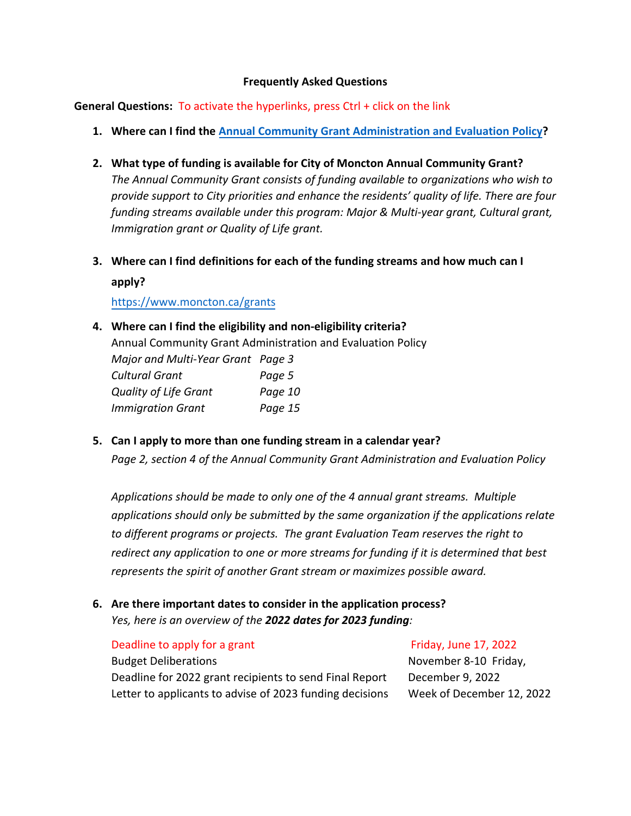### **Frequently Asked Questions**

**General Questions:** To activate the hyperlinks, press Ctrl + click on the link

- **1. Where can I find the [Annual Community Grant Administration and Evaluation Policy?](https://www5.moncton.ca/docs/policies/updated2020/Grant_administration_and_evaluation_policy.pdf)**
- **2. What type of funding is available for City of Moncton Annual Community Grant?** *The Annual Community Grant consists of funding available to organizations who wish to provide support to City priorities and enhance the residents' quality of life. There are four funding streams available under this program: Major & Multi-year grant, Cultural grant, Immigration grant or Quality of Life grant.*
- **3. Where can I find definitions for each of the funding streams and how much can I apply?**

<https://www.moncton.ca/grants>

- **4. Where can I find the eligibility and non-eligibility criteria?** Annual Community Grant Administration and Evaluation Policy *Major and Multi-Year Grant Page 3 Cultural Grant Page 5 Quality of Life Grant Page 10 Immigration Grant Page 15*
- **5. Can I apply to more than one funding stream in a calendar year?**

*Page 2, section 4 of the Annual Community Grant Administration and Evaluation Policy*

*[Applications should be made](https://www.moncton.ca/grant-application) to only one of the 4 annual grant streams. Multiple applications should only be submitted by the same organization if the applications relate to different programs or projects. The grant Evaluation Team reserves the right to redirect any application to one or more streams for funding if it is determined that best represents the spirit of another Grant stream or maximizes possible award.*

# **6. Are there important dates to consider in the application process?** *Yes, here is an overview of the 2022 dates for 2023 funding:*

## Deadline to apply for a grant

## Budget Deliberations Deadline for 2022 grant recipients to send Final Report Letter to applicants to advise of 2023 funding decisions

Friday, June 17, 2022

November 8-10 Friday, December 9, 2022 Week of December 12, 2022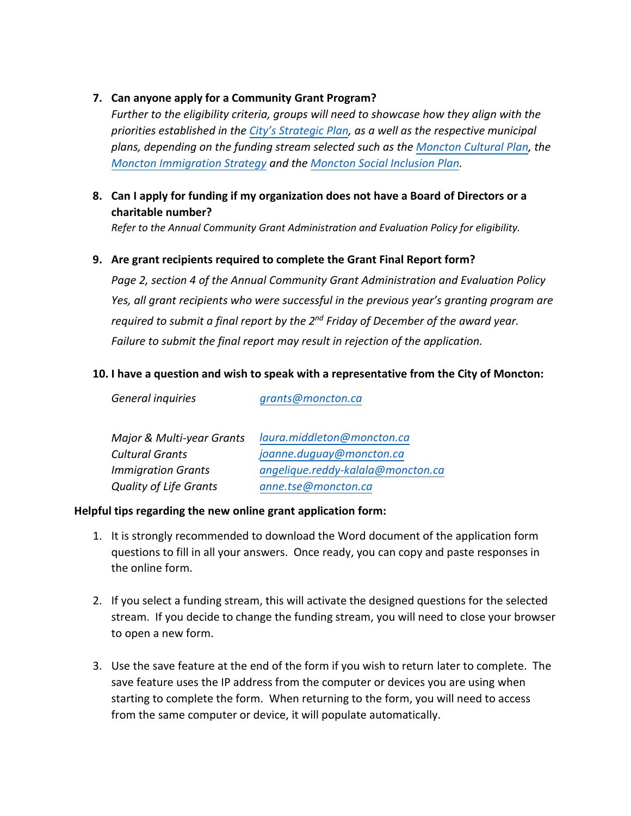## **7. Can anyone apply for a Community Grant Program?**

*Further to the eligibility criteria, groups will need to showcase how they align with the priorities established in the [City's Strategic Plan](https://www5.moncton.ca/docs/council/Strategic_Plan_2022.pdf), as a well as the respective municipal plans, depending on the funding stream selected such as th[e Moncton Cultural Plan,](https://www5.moncton.ca/docs/plans/City%20of%20Moncton_Cultural%20Plan_2016-2026.pdf) the [Moncton Immigration Strategy](https://www5.moncton.ca/docs/immigration/GMIGM_2020-2024_Immigration_Strategy.pdf) and the [Moncton Social Inclusion Plan.](https://www.moncton.ca/guides-moncton/social-inclusion)*

## **8. Can I apply for funding if my organization does not have a Board of Directors or a charitable number?**

*Refer to the Annual Community Grant Administration and Evaluation Policy for eligibility.*

### **9. Are grant recipients required to complete the Grant Final Report form?**

*Page 2, section 4 of the Annual Community Grant Administration and Evaluation Policy Yes, all grant recipients who were successful in the previous year's granting program are required to submit a final report by the 2nd Friday of December of the award year. Failure to submit the final report may result in rejection of the application.*

### **10. I have a question and wish to speak with a representative from the City of Moncton:**

| Major & Multi-year Grants     | laura.middleton@moncton.ca        |
|-------------------------------|-----------------------------------|
| <b>Cultural Grants</b>        | joanne.duguay@moncton.ca          |
| <b>Immigration Grants</b>     | angelique.reddy-kalala@moncton.ca |
| <b>Quality of Life Grants</b> | anne.tse@moncton.ca               |

#### **Helpful tips regarding the new online grant application form:**

*General inquiries grants@moncton.ca*

- 1. It is strongly recommended to download the Word document of the application form questions to fill in all your answers. Once ready, you can copy and paste responses in the online form.
- 2. If you select a funding stream, this will activate the designed questions for the selected stream. If you decide to change the funding stream, you will need to close your browser to open a new form.
- 3. Use the save feature at the end of the form if you wish to return later to complete. The save feature uses the IP address from the computer or devices you are using when starting to complete the form. When returning to the form, you will need to access from the same computer or device, it will populate automatically.